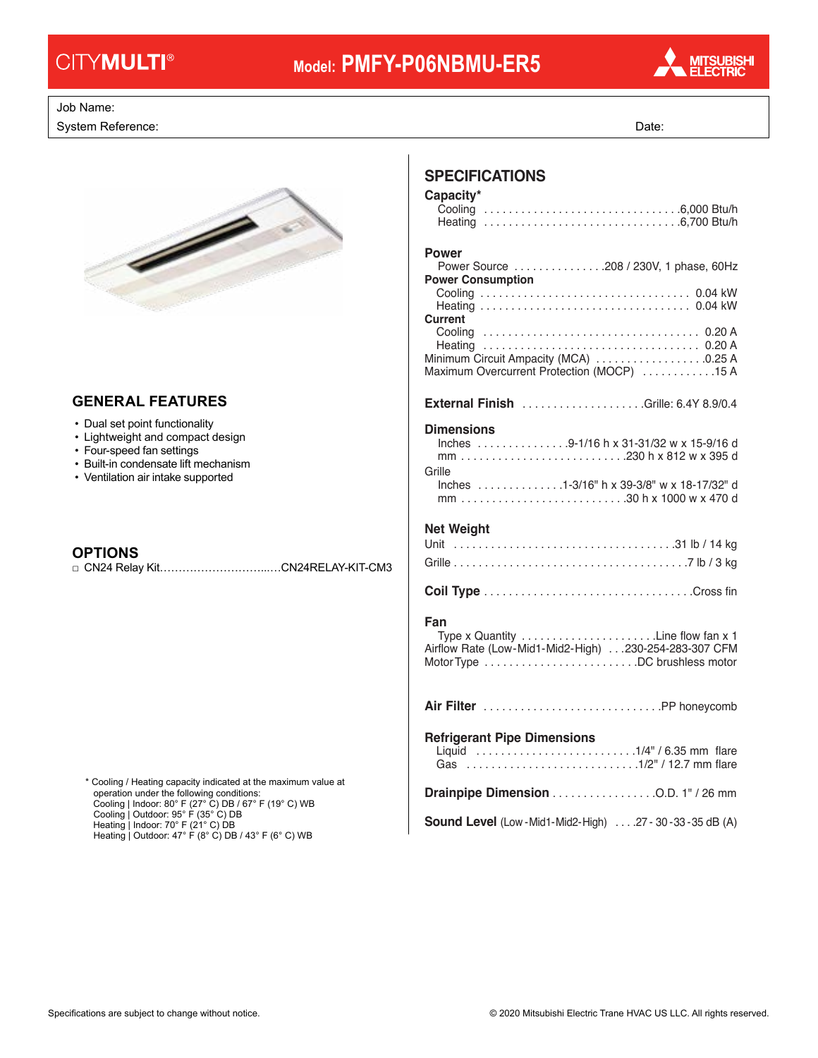# **CITYMULTI®**

# **Model: PMFY-P06NBMU-ER5**



#### Job Name: Drawing Reference: Schedule No.

System Reference: Date: Date: Date: Date: Date: Date: Date: Date: Date: Date: Date: Date: Date: Date: Date: Date: Date: Date: Date: Date: Date: Date: Date: Date: Date: Date: Date: Date: Date: Date: Date: Date: Date: Date:



#### • Lightweight and compact design **GENERAL FEATURES**

- Dual set point functionality
- Lightweight and compact design
- Four-speed fan settings
- Built-in condensate lift mechanism
- Ventilation air intake supported

### **OPTIONS**

□ CN24 Relay Kit………………………...…CN24RELAY-KIT-CM3

Heating | Outdoor: 47° F (8° C) DB / 43° F (6° C) WB \* Cooling / Heating capacity indicated at the maximum value at operation under the following conditions: Cooling | Indoor: 80° F (27° C) DB / 67° F (19° C) WB Cooling | Outdoor: 95° F (35° C) DB Heating | Indoor: 70° F (21° C) DB

### **SPECIFICATIONS**

### **Capacity\***

| <b>Power</b><br>Power Source 208 / 230V, 1 phase, 60Hz<br><b>Power Consumption</b>                                                               |
|--------------------------------------------------------------------------------------------------------------------------------------------------|
|                                                                                                                                                  |
| Current<br>Minimum Circuit Ampacity (MCA) 0.25 A<br>Maximum Overcurrent Protection (MOCP) 15 A                                                   |
| <b>External Finish</b> Grille: 6.4Y 8.9/0.4                                                                                                      |
| <b>Dimensions</b><br>Inches 9-1/16 h x 31-31/32 w x 15-9/16 d<br>mm230 h x 812 w x 395 d<br>Grille<br>Inches 1-3/16" h x 39-3/8" w x 18-17/32" d |
| <b>Net Weight</b>                                                                                                                                |
|                                                                                                                                                  |
|                                                                                                                                                  |
|                                                                                                                                                  |
| Fan<br>Airflow Rate (Low-Mid1-Mid2-High) 230-254-283-307 CFM                                                                                     |
|                                                                                                                                                  |
|                                                                                                                                                  |
| <b>Refrigerant Pipe Dimensions</b><br>Liquid 1/4" / 6.35 mm flare<br>Gas 1/2" / 12.7 mm flare                                                    |
|                                                                                                                                                  |